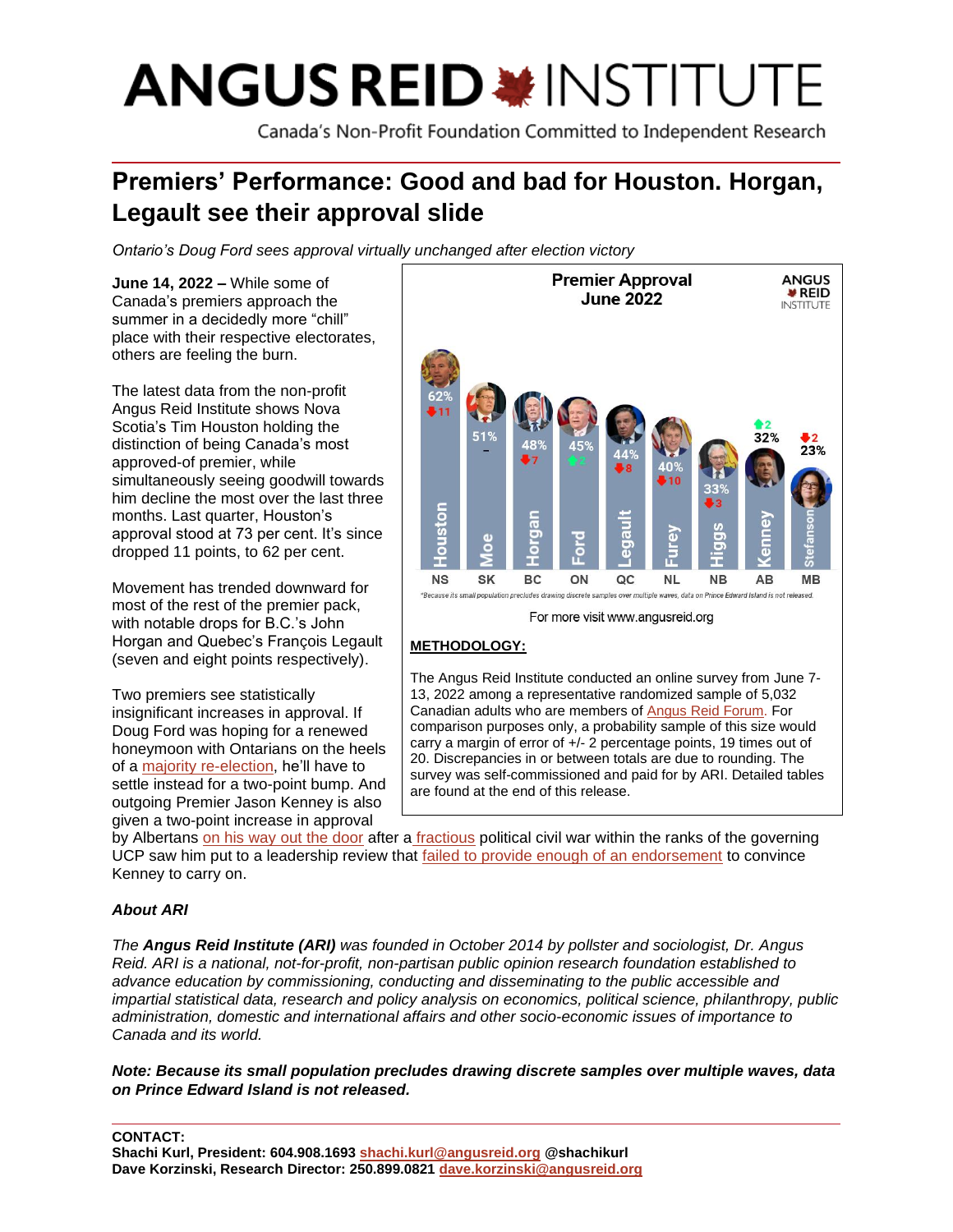# **ANGUS REID \*INSTITUTE**

Canada's Non-Profit Foundation Committed to Independent Research

# **Premiers' Performance: Good and bad for Houston. Horgan, Legault see their approval slide**

*Ontario's Doug Ford sees approval virtually unchanged after election victory*

**June 14, 2022 –** While some of Canada's premiers approach the summer in a decidedly more "chill" place with their respective electorates, others are feeling the burn.

The latest data from the non-profit Angus Reid Institute shows Nova Scotia's Tim Houston holding the distinction of being Canada's most approved-of premier, while simultaneously seeing goodwill towards him decline the most over the last three months. Last quarter, Houston's approval stood at 73 per cent. It's since dropped 11 points, to 62 per cent.

Movement has trended downward for most of the rest of the premier pack, with notable drops for B.C.'s John Horgan and Quebec's François Legault (seven and eight points respectively).

Two premiers see statistically insignificant increases in approval. If Doug Ford was hoping for a renewed honeymoon with Ontarians on the heels of a [majority re-election,](https://globalnews.ca/news/8874755/ontario-election-results-2022/) he'll have to settle instead for a two-point bump. And outgoing Premier Jason Kenney is also given a two-point increase in approval



### **METHODOLOGY:**

The Angus Reid Institute conducted an online survey from June 7- 13, 2022 among a representative randomized sample of 5,032 Canadian adults who are members o[f Angus](http://www.angusreidforum.com/) Reid Forum. For comparison purposes only, a probability sample of this size would carry a margin of error of +/- 2 percentage points, 19 times out of 20. Discrepancies in or between totals are due to rounding. The survey was self-commissioned and paid for by ARI. Detailed tables are found at the end of this release.

by Albertans [on his way out the door](https://calgary.ctvnews.ca/calgary-mla-to-add-name-to-the-race-for-ucp-leadership-1.5943794) after a [fractious](https://nationalpost.com/news/politics/a-travesty-change-to-mail-in-voting-for-ucp-leadership-review-riles-kenney-opponents) political civil war within the ranks of the governing UCP saw him put to a leadership review that [failed to provide enough of an endorsement](https://www.thestar.com/news/canada/2022/05/18/jason-kenneys-fate-to-be-revealed-wednesday-night.html) to convince Kenney to carry on.

## *About ARI*

*The Angus Reid Institute (ARI) was founded in October 2014 by pollster and sociologist, Dr. Angus Reid. ARI is a national, not-for-profit, non-partisan public opinion research foundation established to advance education by commissioning, conducting and disseminating to the public accessible and impartial statistical data, research and policy analysis on economics, political science, philanthropy, public administration, domestic and international affairs and other socio-economic issues of importance to Canada and its world.*

*Note: Because its small population precludes drawing discrete samples over multiple waves, data on Prince Edward Island is not released.*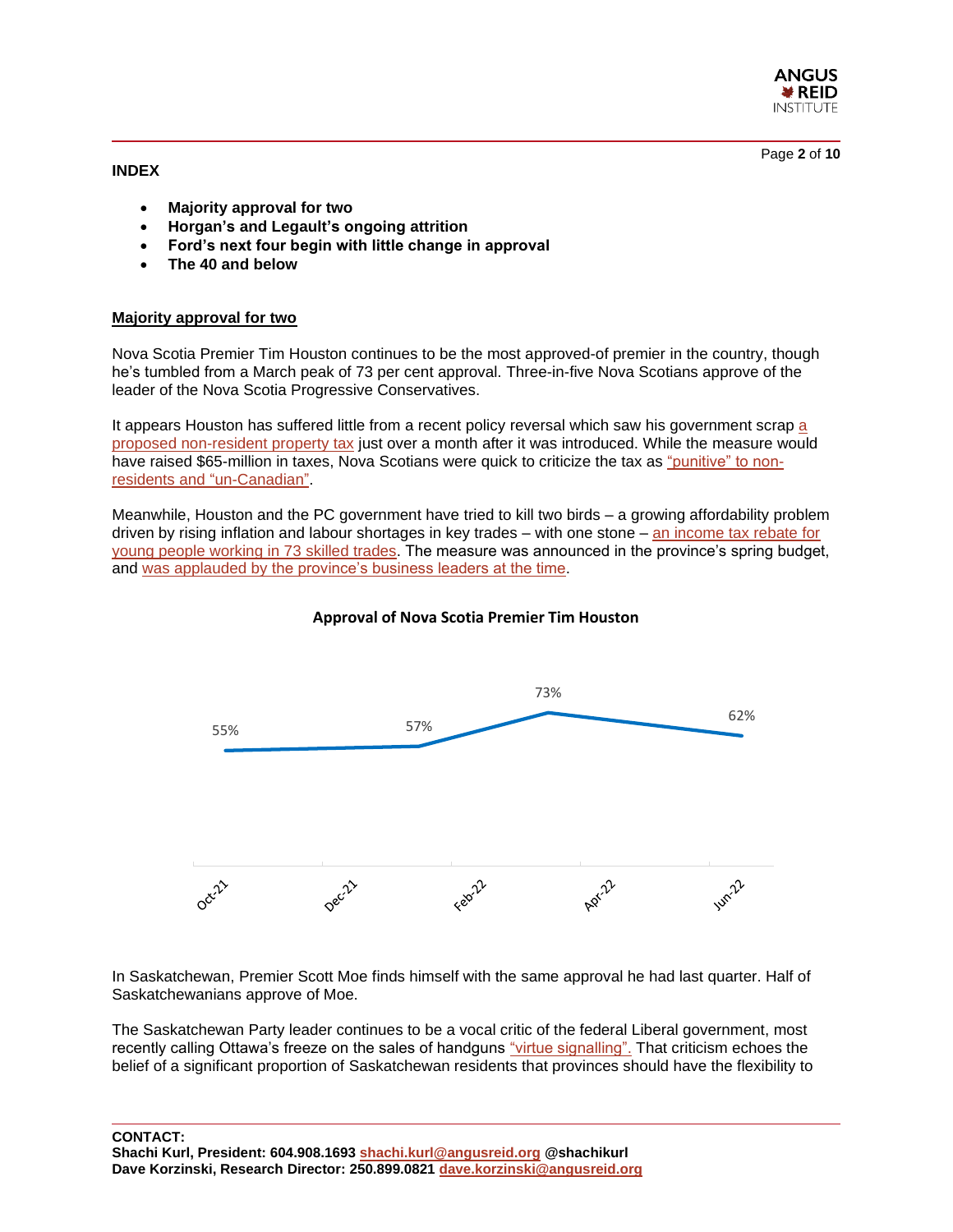**ANGUS ¥REID INSTITUTE** 

Page **2** of **10**

**INDEX**

- **Majority approval for two**
- **Horgan's and Legault's ongoing attrition**
- **Ford's next four begin with little change in approval**
- **The 40 and below**

#### **Majority approval for two**

Nova Scotia Premier Tim Houston continues to be the most approved-of premier in the country, though he's tumbled from a March peak of 73 per cent approval. Three-in-five Nova Scotians approve of the leader of the Nova Scotia Progressive Conservatives.

It appears Houston has suffered little from a recent policy reversal which saw his government scrap [a](https://www.halifaxexaminer.ca/province-house/non-resident-property-tax-increase-gone-before-the-ink-was-dry/)  [proposed non-resident property tax](https://www.halifaxexaminer.ca/province-house/non-resident-property-tax-increase-gone-before-the-ink-was-dry/) just over a month after it was introduced. While the measure would have raised \$65-million in taxes, Nova Scotians were quick to criticize the tax as ["punitive" to non](https://www.halifaxexaminer.ca/province-house/non-resident-property-tax-increase-gone-before-the-ink-was-dry/)[residents and "un-Canadian"](https://www.halifaxexaminer.ca/province-house/non-resident-property-tax-increase-gone-before-the-ink-was-dry/).

Meanwhile, Houston and the PC government have tried to kill two birds – a growing affordability problem driven by rising inflation and labour shortages in key trades – with one stone – [an income tax rebate for](https://www.cbc.ca/news/canada/nova-scotia/skilled-trades-provincial-income-tax-tim-houston-1.6481778)  [young people working in 73 skilled trades.](https://www.cbc.ca/news/canada/nova-scotia/skilled-trades-provincial-income-tax-tim-houston-1.6481778) The measure was announced in the province's spring budget, and [was applauded by the province's business leaders at the time.](https://www.saltwire.com/atlantic-canada/business/nova-scotia-budget-gets-mixed-reviews-from-business-community-100711987/)



#### **Approval of Nova Scotia Premier Tim Houston**

In Saskatchewan, Premier Scott Moe finds himself with the same approval he had last quarter. Half of Saskatchewanians approve of Moe.

The Saskatchewan Party leader continues to be a vocal critic of the federal Liberal government, most recently calling Ottawa's freeze on the sales of handguns ["virtue signalling".](https://thestarphoenix.com/news/local-news/moe-calls-ottawas-proposed-new-handgun-freeze-virtue-signalling?_gl=1*5n7zav*_ga*MTIzMzA0Nzk1OS4xNjU0ODg1NDM1*_ga_9H6VPHFHKG*MTY1NDg4NTQzNS4xLjEuMTY1NDg4NTQ1MS4w&_ga=2.146853297.702435270.1654885435-1233047959.1654885435) That criticism echoes the belief of a significant proportion of Saskatchewan residents that provinces should have the flexibility to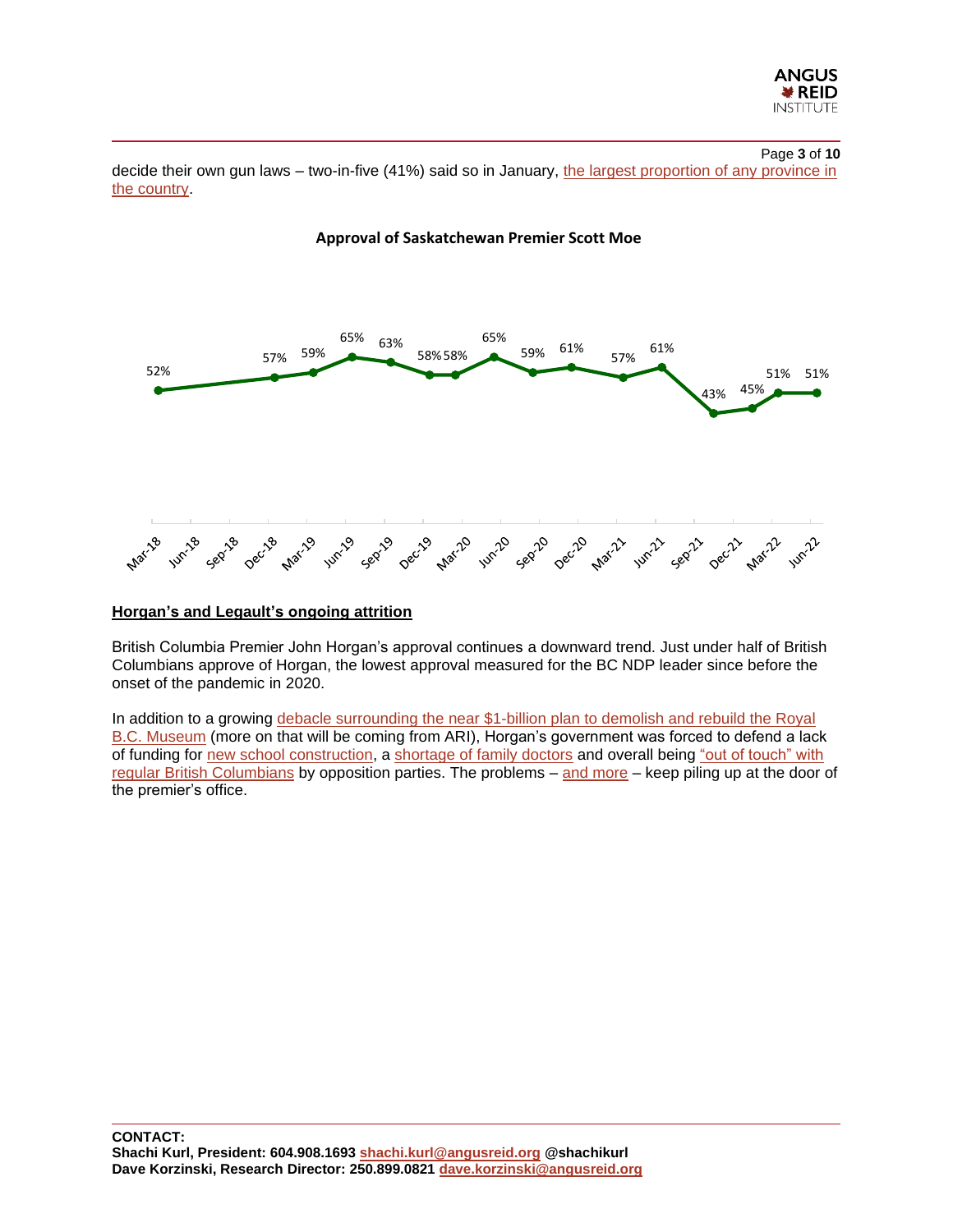

#### Page **3** of **10**

decide their own gun laws – two-in-five (41%) said so in January, the largest proportion of any province in [the country.](https://angusreid.org/canada-gun-control-handgun-ban-buyback/)



#### **Approval of Saskatchewan Premier Scott Moe**

#### **Horgan's and Legault's ongoing attrition**

British Columbia Premier John Horgan's approval continues a downward trend. Just under half of British Columbians approve of Horgan, the lowest approval measured for the BC NDP leader since before the onset of the pandemic in 2020.

In addition to a growing debacle surrounding the near \$1-billion plan to demolish and rebuild the Royal [B.C. Museum](https://www.timescolonist.com/opinion/les-leyne-horgan-ignoring-the-woolly-mammoth-in-the-room-5443944) (more on that will be coming from ARI), Horgan's government was forced to defend a lack of funding for [new school construction,](https://www.cheknews.ca/b-c-premier-denies-funding-freeze-on-new-schools-as-some-districts-come-up-empty-for-capital-1045321/) a [shortage of family doctors](https://vancouversun.com/opinion/columnists/vaughn-palmer-horgan-acknowledges-shortage-of-family-doctors-is-very-acute) and overall being ["out of touch" with](https://www.delta-optimist.com/bc-news/ndp-out-of-touch-downfall-forecast-say-liberals-greens-as-spring-sitting-ends-5434056)  [regular British Columbians](https://www.delta-optimist.com/bc-news/ndp-out-of-touch-downfall-forecast-say-liberals-greens-as-spring-sitting-ends-5434056) by opposition parties. The problems – [and more](https://www.vicnews.com/news/suspect-in-manure-dumping-at-horgans-langford-office-turns-himself-in/) – keep piling up at the door of the premier's office.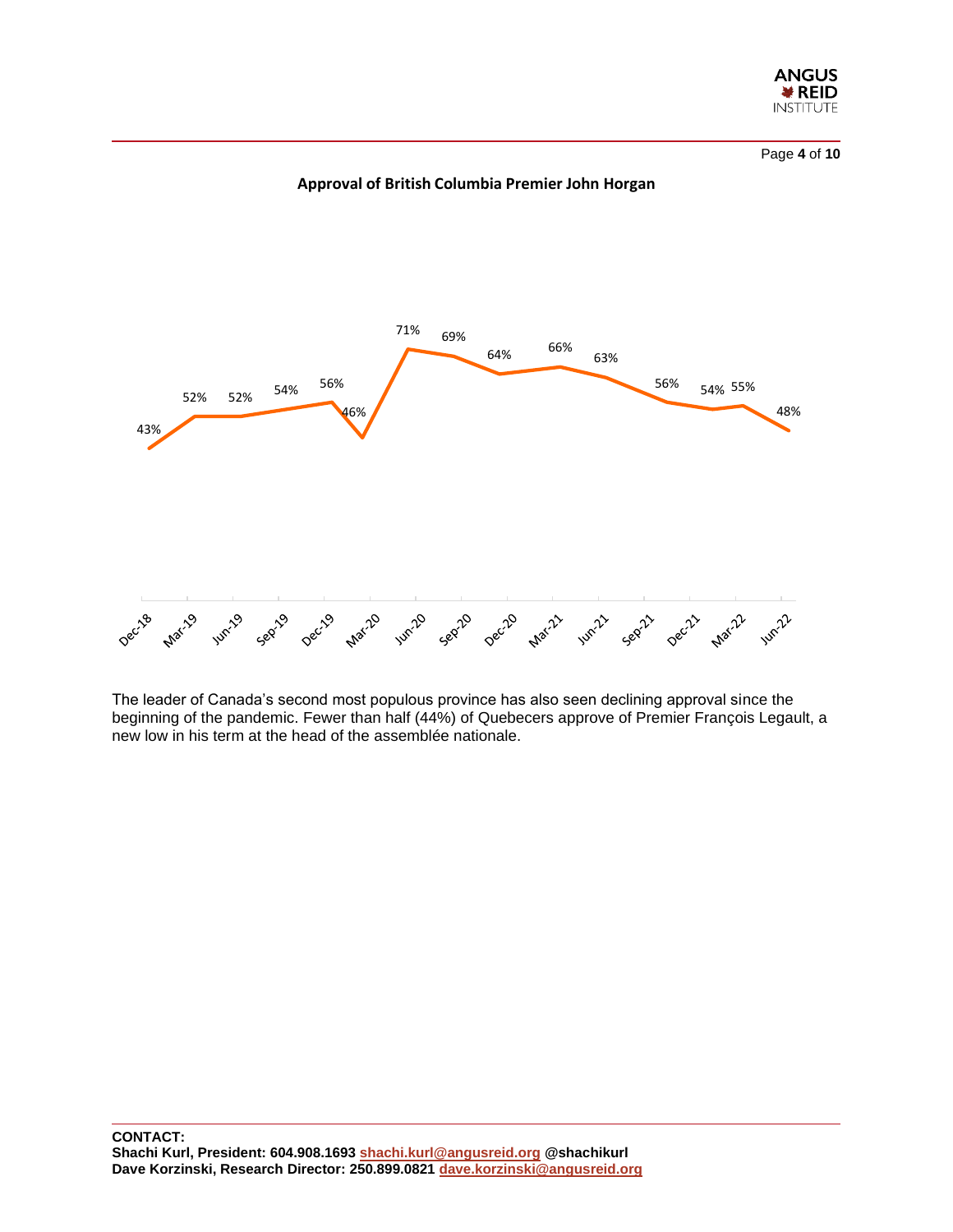

Page **4** of **10**





The leader of Canada's second most populous province has also seen declining approval since the beginning of the pandemic. Fewer than half (44%) of Quebecers approve of Premier François Legault, a new low in his term at the head of the assemblée nationale.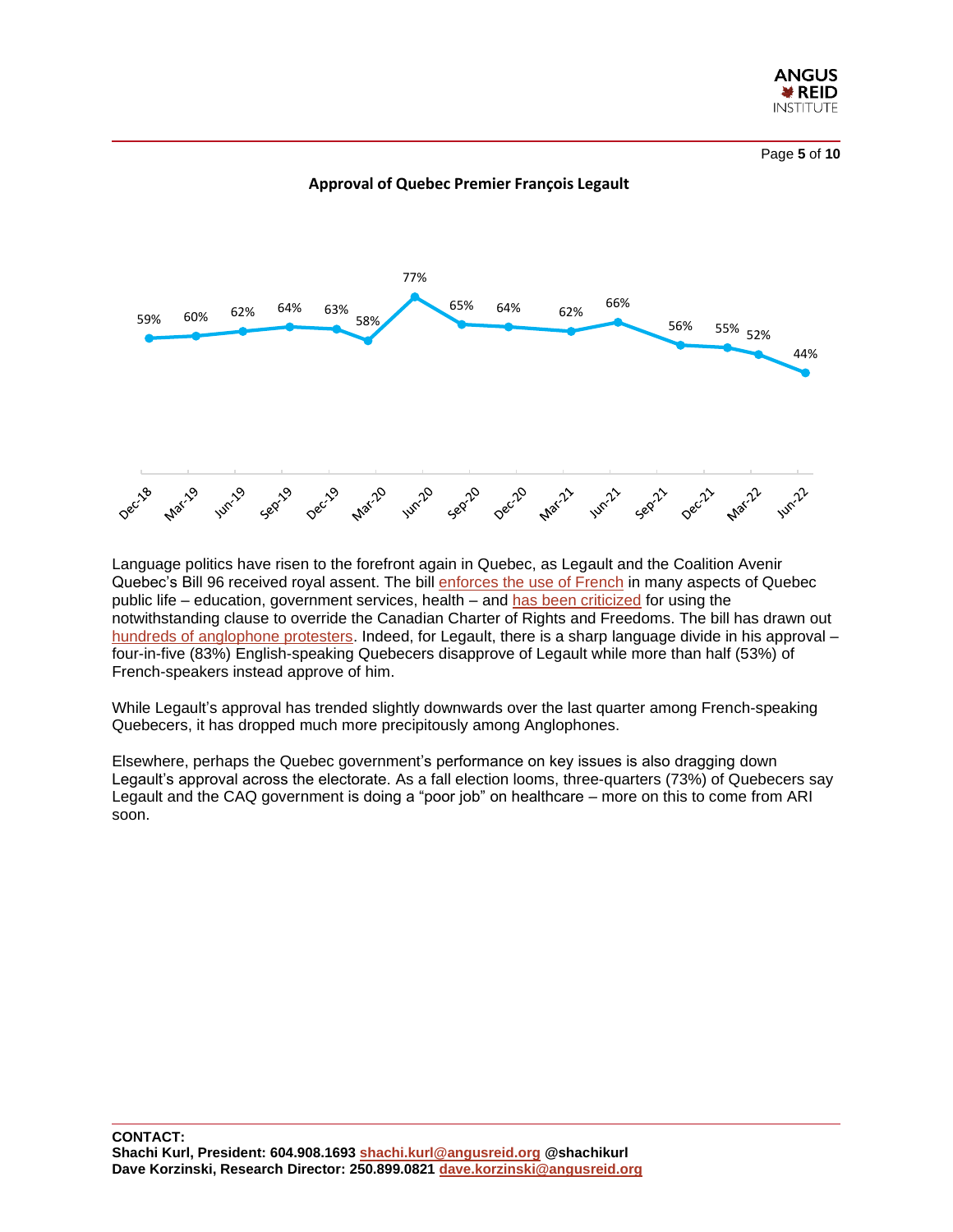

Page **5** of **10**



**Approval of Quebec Premier François Legault**

Language politics have risen to the forefront again in Quebec, as Legault and the Coalition Avenir Quebec's Bill 96 received royal assent. The bill [enforces the use of French](https://www.cbc.ca/news/canada/montreal/bill-96-explained-1.6460764) in many aspects of Quebec public life – education, government services, health – and [has been criticized](https://www.cbc.ca/news/canada/montreal/bill-96-explained-1.6460764) for using the notwithstanding clause to override the Canadian Charter of Rights and Freedoms. The bill has drawn out [hundreds of anglophone protesters.](https://montreal.ctvnews.ca/hundreds-of-protesters-in-montreal-protest-quebec-s-bill-96-1.5920740) Indeed, for Legault, there is a sharp language divide in his approval – four-in-five (83%) English-speaking Quebecers disapprove of Legault while more than half (53%) of French-speakers instead approve of him.

While Legault's approval has trended slightly downwards over the last quarter among French-speaking Quebecers, it has dropped much more precipitously among Anglophones.

Elsewhere, perhaps the Quebec government's performance on key issues is also dragging down Legault's approval across the electorate. As a fall election looms, three-quarters (73%) of Quebecers say Legault and the CAQ government is doing a "poor job" on healthcare – more on this to come from ARI soon.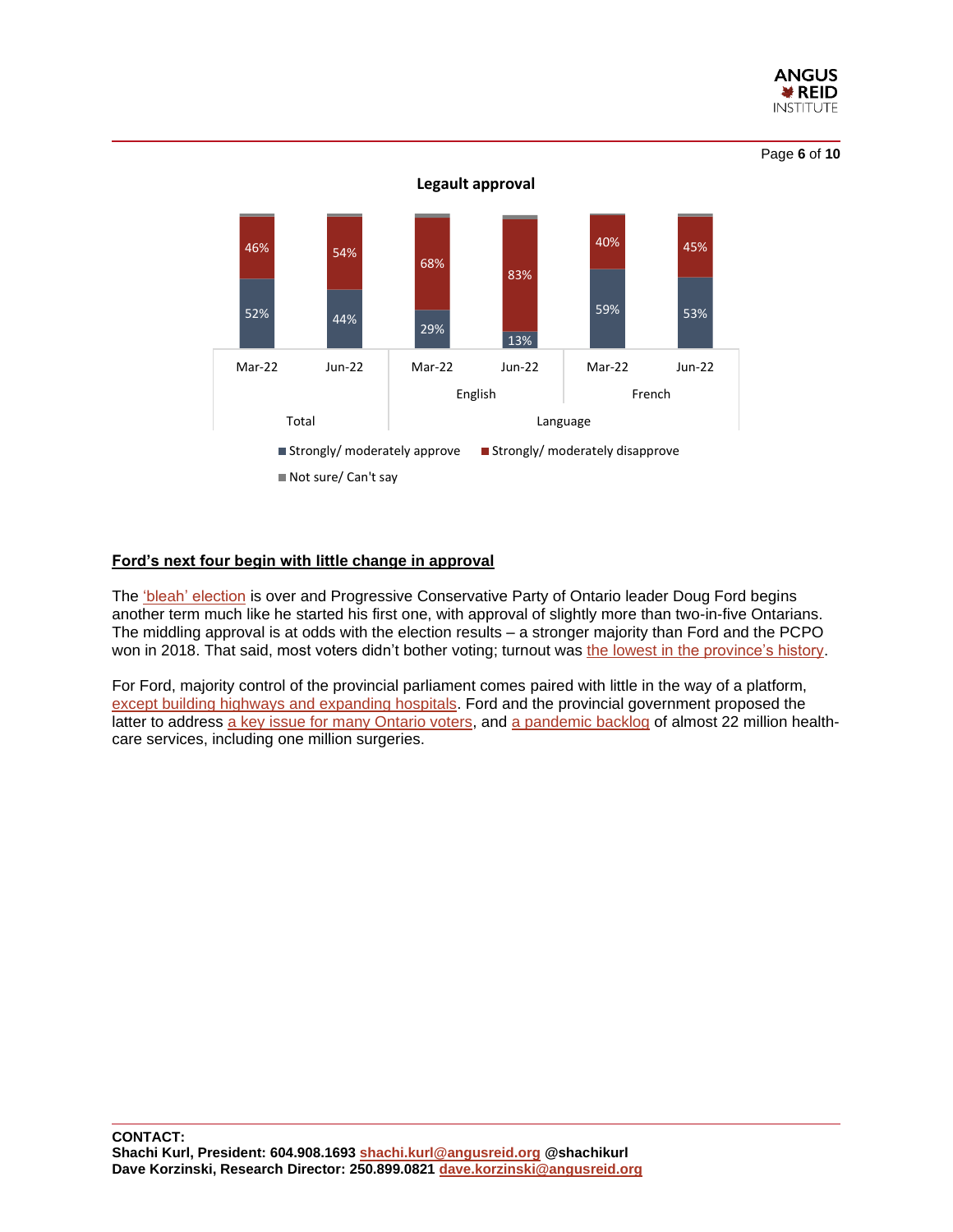

Page **6** of **10**



#### **Ford's next four begin with little change in approval**

The ['bleah' election](https://ottawacitizen.com/news/ontario-election/kurl-ontario-election-2022-will-be-remembered-as-the-battle-of-the-bleah) is over and Progressive Conservative Party of Ontario leader Doug Ford begins another term much like he started his first one, with approval of slightly more than two-in-five Ontarians. The middling approval is at odds with the election results – a stronger majority than Ford and the PCPO won in 2018. That said, most voters didn't bother voting; turnout was [the lowest in the province's history.](https://toronto.ctvnews.ca/ontario-records-lowest-voter-turnout-in-election-history-1.5931440)

For Ford, majority control of the provincial parliament comes paired with little in the way of a platform, [except building highways and expanding hospitals.](https://www.theglobeandmail.com/canada/article-who-won-ontario-election-results-doug-ford/) Ford and the provincial government proposed the latter to address [a key issue for many Ontario voters,](https://angusreid.org/ontario-election-leadership/) and [a pandemic backlog](https://www.cbc.ca/news/canada/toronto/ontario-surgery-health-care-backlog-medical-association-1.6461245) of almost 22 million healthcare services, including one million surgeries.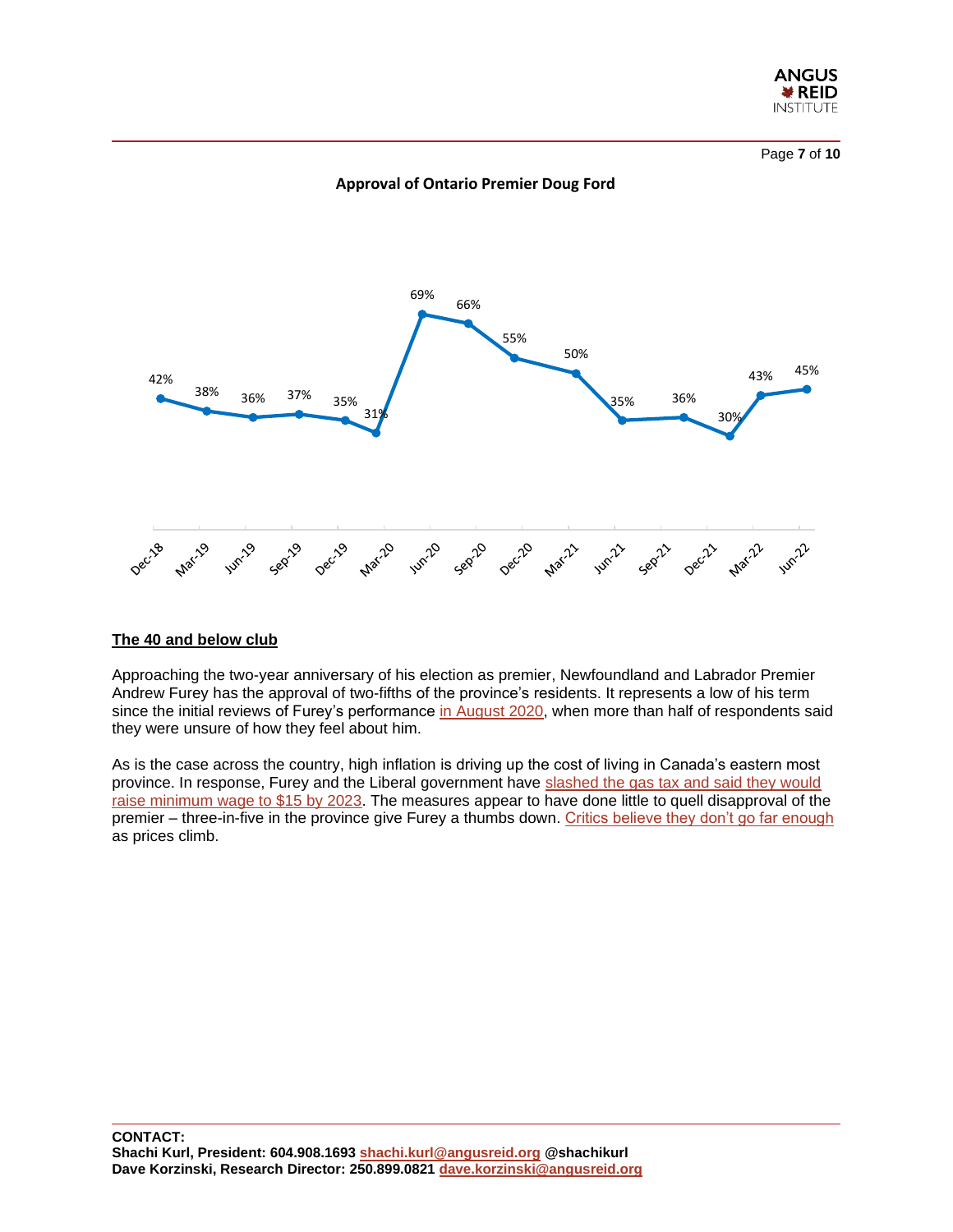

Page **7** of **10**





#### **The 40 and below club**

Approaching the two-year anniversary of his election as premier, Newfoundland and Labrador Premier Andrew Furey has the approval of two-fifths of the province's residents. It represents a low of his term since the initial reviews of Furey's performance [in August 2020,](https://angusreid.org/premier-approval-august2020/) when more than half of respondents said they were unsure of how they feel about him.

As is the case across the country, high inflation is driving up the cost of living in Canada's eastern most province. In response, Furey and the Liberal government have slashed the gas tax and said they would [raise minimum wage to \\$15 by 2023.](https://www.cbc.ca/news/canada/newfoundland-labrador/nl-gas-tax-reduction-1.6466676) The measures appear to have done little to quell disapproval of the premier – three-in-five in the province give Furey a thumbs down. [Critics believe they don't go far enough](https://www.cbc.ca/news/canada/newfoundland-labrador/house-of-assembly-spring-wrap-up-1.6477143) as prices climb.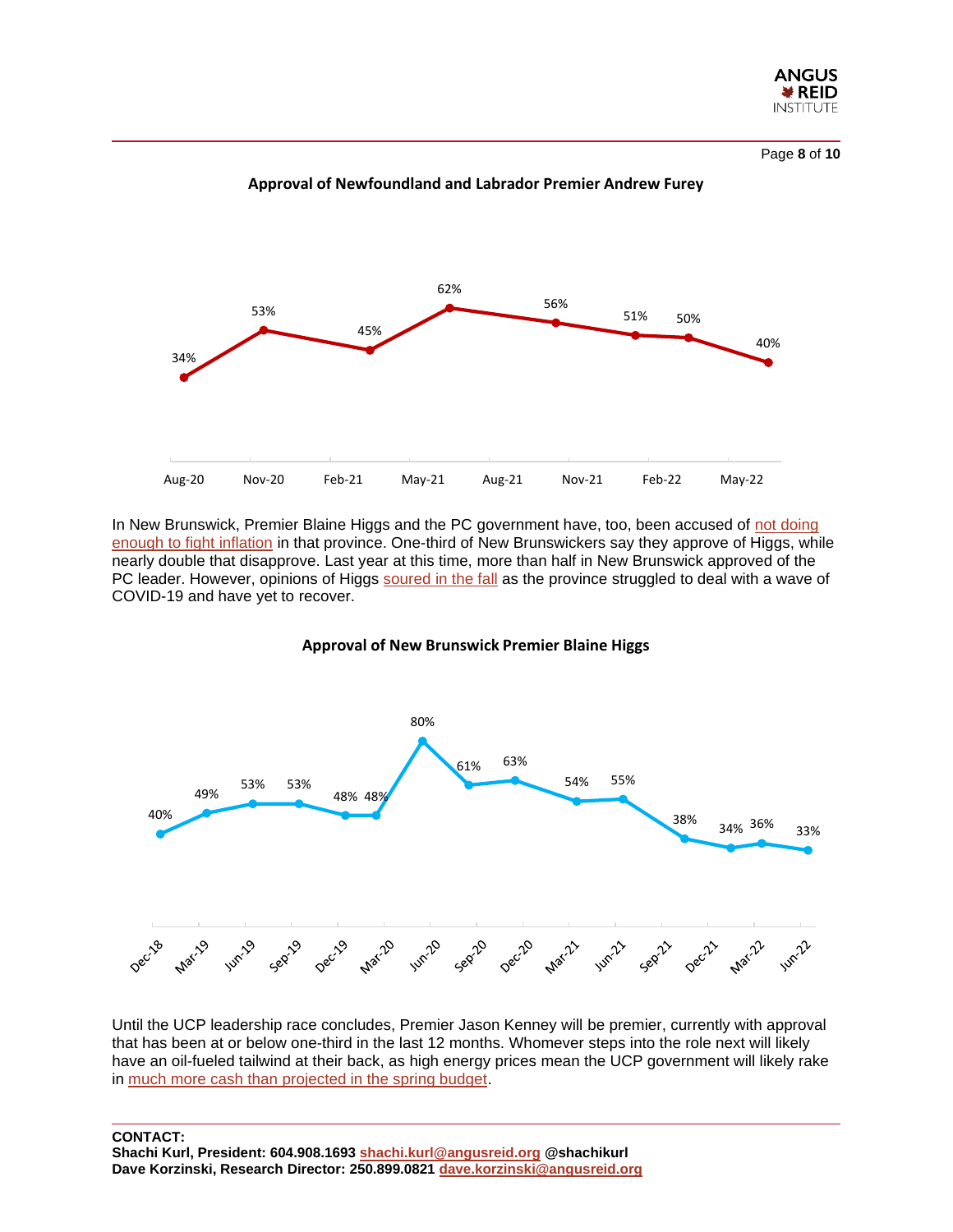

Page **8** of **10**



**Approval of Newfoundland and Labrador Premier Andrew Furey**

In New Brunswick, Premier Blaine Higgs and the PC government have, too, been accused of [not doing](https://atlantic.ctvnews.ca/higgs-defends-n-b-inflation-relief-program-against-calls-for-broader-help-1.5930616)  [enough to fight inflation](https://atlantic.ctvnews.ca/higgs-defends-n-b-inflation-relief-program-against-calls-for-broader-help-1.5930616) in that province. One-third of New Brunswickers say they approve of Higgs, while nearly double that disapprove. Last year at this time, more than half in New Brunswick approved of the PC leader. However, opinions of Higgs [soured in the fall](https://angusreid.org/premiers-approval-october-2021/) as the province struggled to deal with a wave of COVID-19 and have yet to recover.





Until the UCP leadership race concludes, Premier Jason Kenney will be premier, currently with approval that has been at or below one-third in the last 12 months. Whomever steps into the role next will likely have an oil-fueled tailwind at their back, as high energy prices mean the UCP government will likely rake in [much more cash than projected in the spring budget.](https://www.cbc.ca/news/business/bakx-alberta-budget-wti-1.6363637)

**CONTACT:**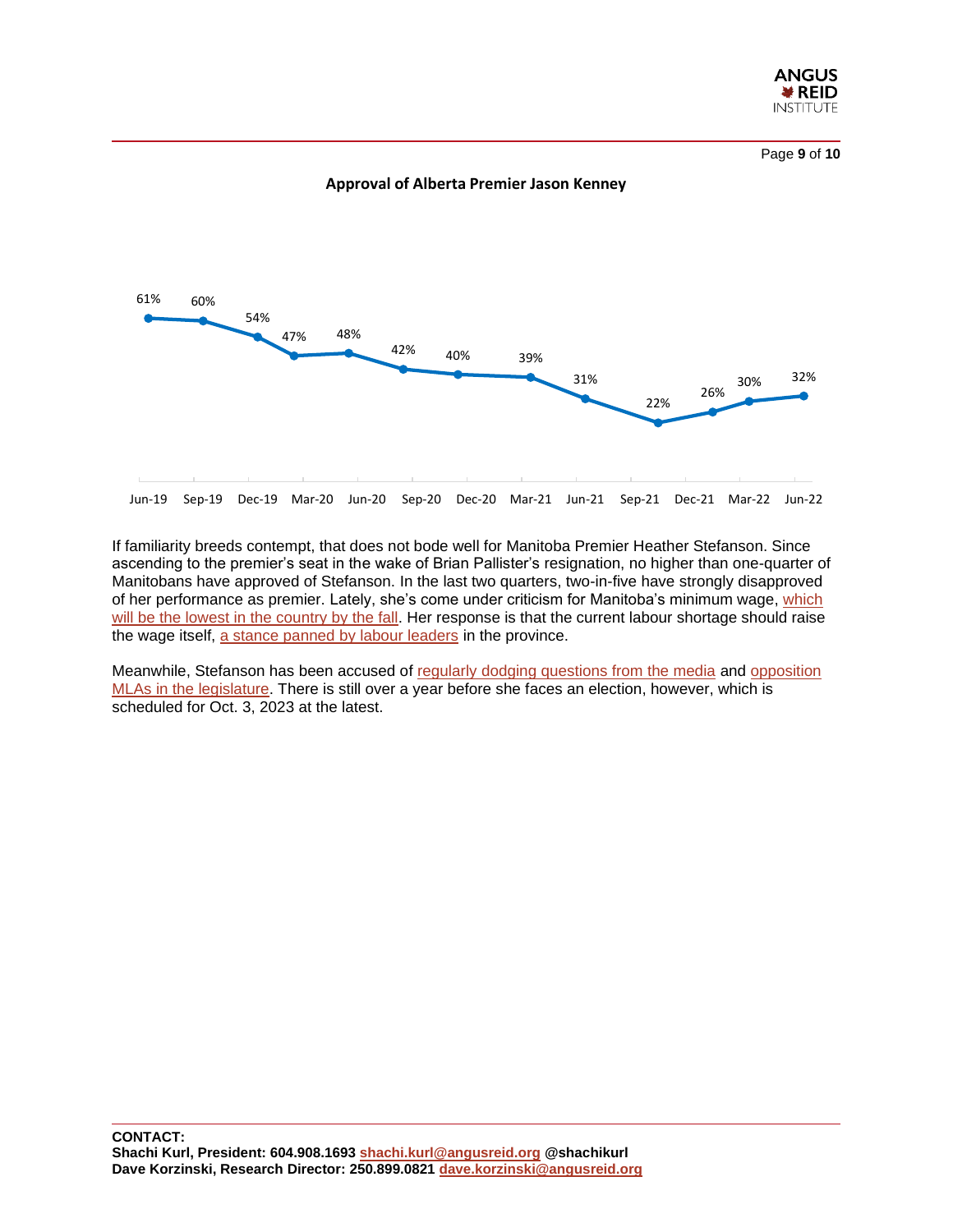

Page **9** of **10**



**Approval of Alberta Premier Jason Kenney**

If familiarity breeds contempt, that does not bode well for Manitoba Premier Heather Stefanson. Since ascending to the premier's seat in the wake of Brian Pallister's resignation, no higher than one-quarter of Manitobans have approved of Stefanson. In the last two quarters, two-in-five have strongly disapproved of her performance as premier. Lately, she's come under criticism for Manitoba's minimum wage, [which](https://www.cbc.ca/news/canada/manitoba/manitoba-minimum-wage-1.6447274)  [will be the lowest in the country by the fall.](https://www.cbc.ca/news/canada/manitoba/manitoba-minimum-wage-1.6447274) Her response is that the current labour shortage should raise the wage itself, [a stance panned by labour leaders](https://www.cbc.ca/news/canada/manitoba/manitoba-minimum-wage-1.6447274) in the province.

Meanwhile, Stefanson has been accused of [regularly dodging questions from the media](https://www.brandonsun.com/opinion/editorials/now-you-see-her-and-now-you-dont-576467062.html) and [opposition](https://www.winnipegfreepress.com/local/no-question-period-ndp-decries-stefansons-schedule-576409042.html)  MLAs [in the legislature.](https://www.winnipegfreepress.com/local/no-question-period-ndp-decries-stefansons-schedule-576409042.html) There is still over a year before she faces an election, however, which is scheduled for Oct. 3, 2023 at the latest.